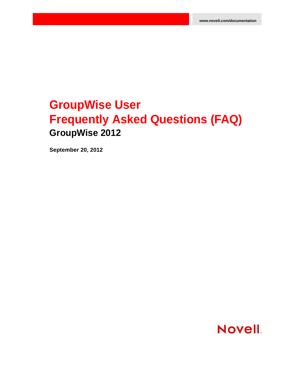## **GroupWise User Frequently Asked Questions (FAQ) GroupWise 2012**

**September 20, 2012**

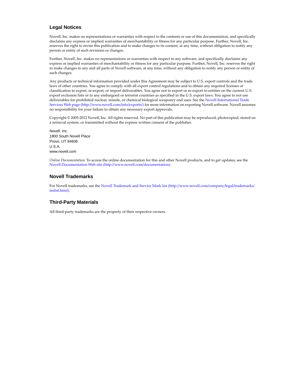#### **Legal Notices**

Novell, Inc. makes no representations or warranties with respect to the contents or use of this documentation, and specifically disclaims any express or implied warranties of merchantability or fitness for any particular purpose. Further, Novell, Inc. reserves the right to revise this publication and to make changes to its content, at any time, without obligation to notify any person or entity of such revisions or changes.

Further, Novell, Inc. makes no representations or warranties with respect to any software, and specifically disclaims any express or implied warranties of merchantability or fitness for any particular purpose. Further, Novell, Inc. reserves the right to make changes to any and all parts of Novell software, at any time, without any obligation to notify any person or entity of such changes.

Any products or technical information provided under this Agreement may be subject to U.S. export controls and the trade laws of other countries. You agree to comply with all export control regulations and to obtain any required licenses or classification to export, re-export, or import deliverables. You agree not to export or re-export to entities on the current U.S. export exclusion lists or to any embargoed or terrorist countries as specified in the U.S. export laws. You agree to not use deliverables for prohibited nuclear, missile, or chemical biological weaponry end uses. See the [Novell International Trade](http://www.novell.com/info/exports/)  [Services Web page](http://www.novell.com/info/exports/) (http://www.novell.com/info/exports/) for more information on exporting Novell software. Novell assumes no responsibility for your failure to obtain any necessary export approvals.

Copyright © 2005-2012 Novell, Inc. All rights reserved. No part of this publication may be reproduced, photocopied, stored on a retrieval system, or transmitted without the express written consent of the publisher.

Novell, Inc. 1800 South Novell Place Provo, UT 84606 U.S.A. www.novell.com

*Online Documentation:* To access the online documentation for this and other Novell products, and to get updates, see the [Novell Documentation Web site](http://www.novell.com/documentation) (http://www.novell.com/documentation).

#### **Novell Trademarks**

For Novell trademarks, see the [Novell Trademark and Service Mark list](http://www.novell.com/company/legal/trademarks/tmlist.html) (http://www.novell.com/company/legal/trademarks/ tmlist.html).

#### **Third-Party Materials**

All third-party trademarks are the property of their respective owners.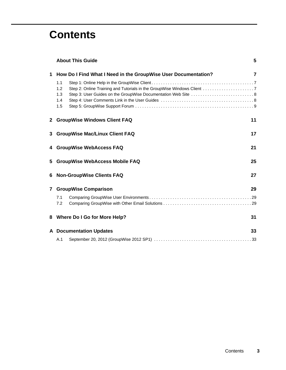### **Contents**

|              | <b>About This Guide</b>                                        | 5  |  |
|--------------|----------------------------------------------------------------|----|--|
| 1            | How Do I Find What I Need in the GroupWise User Documentation? | 7  |  |
|              | 1.1<br>1.2<br>1.3<br>1.4<br>1.5                                |    |  |
| 2            | <b>GroupWise Windows Client FAQ</b>                            | 11 |  |
| 3            | <b>GroupWise Mac/Linux Client FAQ</b>                          | 17 |  |
| 4            | <b>GroupWise WebAccess FAQ</b>                                 | 21 |  |
| 5            | <b>GroupWise WebAccess Mobile FAQ</b><br>25                    |    |  |
| 6            | <b>Non-GroupWise Clients FAQ</b>                               | 27 |  |
| $\mathbf{7}$ | <b>GroupWise Comparison</b>                                    | 29 |  |
|              | 7.1<br>7.2                                                     |    |  |
| 8            | <b>Where Do I Go for More Help?</b>                            | 31 |  |
|              | <b>A</b> Documentation Updates                                 | 33 |  |
|              | A.1                                                            |    |  |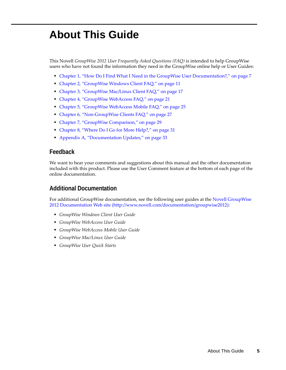## <span id="page-4-0"></span>**About This Guide**

This Novell *GroupWise 2012 User Frequently Asked Questions (FAQ)* is intended to help GroupWise users who have not found the information they need in the GroupWise online help or User Guides:

- [Chapter 1, "How Do I Find What I Need in the GroupWise User Documentation?," on page 7](#page-6-3)
- [Chapter 2, "GroupWise Windows Client FAQ," on page 11](#page-10-1)
- [Chapter 3, "GroupWise Mac/Linux Client FAQ," on page 17](#page-16-1)
- [Chapter 4, "GroupWise WebAccess FAQ," on page 21](#page-20-1)
- [Chapter 5, "GroupWise WebAccess Mobile FAQ," on page 25](#page-24-1)
- [Chapter 6, "Non-GroupWise Clients FAQ," on page 27](#page-26-1)
- [Chapter 7, "GroupWise Comparison," on page 29](#page-28-3)
- [Chapter 8, "Where Do I Go for More Help?," on page 31](#page-30-1)
- [Appendix A, "Documentation Updates," on page 33](#page-32-2)

#### **Feedback**

We want to hear your comments and suggestions about this manual and the other documentation included with this product. Please use the User Comment feature at the bottom of each page of the online documentation.

#### **Additional Documentation**

For additional GroupWise documentation, see the following user guides at the [Novell GroupWise](http://www.novell.com/documentation/groupwise2012)  [2012 Documentation Web site](http://www.novell.com/documentation/groupwise2012) (http://www.novell.com/documentation/groupwise2012):

- *GroupWise Windows Client User Guide*
- *GroupWise WebAccess User Guide*
- *GroupWise WebAccess Mobile User Guide*
- *GroupWise Mac/Linux User Guide*
- *GroupWise User Quick Starts*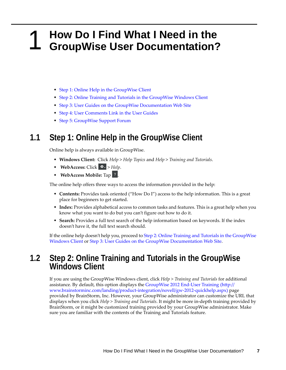### <span id="page-6-0"></span>1 <sup>1</sup>**How Do I Find What I Need in the GroupWise User Documentation?**

- <span id="page-6-3"></span>[Step 1: Online Help in the GroupWise Client](#page-6-1)
- [Step 2: Online Training and Tutorials in the GroupWise Windows Client](#page-6-2)
- [Step 3: User Guides on the GroupWise Documentation Web Site](#page-7-0)
- [Step 4: User Comments Link in the User Guides](#page-7-1)
- [Step 5: GroupWise Support Forum](#page-8-0)

### <span id="page-6-1"></span>**1.1 Step 1: Online Help in the GroupWise Client**

Online help is always available in GroupWise.

- **Windows Client:** Click *Help* > *Help Topics* and *Help* > *Training and Tutorials*.
- $\cdot$  WebAccess: Click  $\star$  > *Help*.
- **\*** WebAccess Mobile: Tap ?

The online help offers three ways to access the information provided in the help:

- **Contents:** Provides task oriented ("How Do I") access to the help information. This is a great place for beginners to get started.
- **Index:** Provides alphabetical access to common tasks and features. This is a great help when you know what you want to do but you can't figure out how to do it.
- **Search:** Provides a full text search of the help information based on keywords. If the index doesn't have it, the full text search should.

If the online help doesn't help you, proceed to [Step 2: Online Training and Tutorials in the GroupWise](#page-6-2)  [Windows Client](#page-6-2) or [Step 3: User Guides on the GroupWise Documentation Web Site.](#page-7-0)

# <span id="page-6-2"></span>**1.2 Step 2: Online Training and Tutorials in the GroupWise Windows Client**

If you are using the GroupWise Windows client, click *Help > Training and Tutorials* for additional assistance. By default, this option displays the [GroupWise 2012 End-User Training](http://www.brainstorminc.com/landing/product-integration/novell/gw-2012-quickhelp.aspx) (http:// www.brainstorminc.com/landing/product-integration/novell/gw-2012-quickhelp.aspx) page provided by BrainStorm, Inc. However, your GroupWise administrator can customize the URL that displays when you click *Help > Training and Tutorials*. It might be more in-depth training provided by BrainStorm, or it might be customized training provided by your GroupWise administrator. Make sure you are familiar with the contents of the Training and Tutorials feature.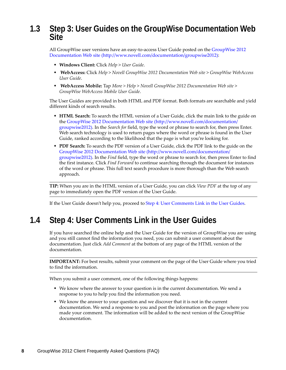### <span id="page-7-0"></span>**1.3 Step 3: User Guides on the GroupWise Documentation Web Site**

All GroupWise user versions have an easy-to-access User Guide posted on the [GroupWise 2012](http://www.novell.com/documentation/groupwise2012)  [Documentation Web site](http://www.novell.com/documentation/groupwise2012) (http://www.novell.com/documentation/groupwise2012):

- **Windows Client:** Click *Help* > *User Guide*.
- **WebAccess:** Click *Help* > *Novell GroupWise 2012 Documentation Web site* > *GroupWise WebAccess User Guide*.
- **WebAccess Mobile:** Tap *More > Help* > *Novell GroupWise 2012 Documentation Web site* > *GroupWise WebAccess Mobile User Guide*.

The User Guides are provided in both HTML and PDF format. Both formats are searchable and yield different kinds of search results.

- **HTML Search:** To search the HTML version of a User Guide, click the main link to the guide on the [GroupWise 2012 Documentation Web site](http://www.novell.com/documentation/groupwise2012) (http://www.novell.com/documentation/ groupwise2012). In the *Search for* field, type the word or phrase to search for, then press Enter. Web search technology is used to return pages where the word or phrase is found in the User Guide, ranked according to the likelihood that the page is what you're looking for.
- **PDF Search:** To search the PDF version of a User Guide, click the PDF link to the guide on the [GroupWise 2012 Documentation Web site](http://www.novell.com/documentation/groupwise2012) (http://www.novell.com/documentation/ groupwise2012). In the *Find* field, type the word or phrase to search for, then press Enter to find the first instance. Click *Find Forward* to continue searching through the document for instances of the word or phrase. This full text search procedure is more thorough than the Web search approach.

**TIP:** When you are in the HTML version of a User Guide, you can click *View PDF* at the top of any page to immediately open the PDF version of the User Guide.

If the User Guide doesn't help you, proceed to [Step 4: User Comments Link in the User Guides](#page-7-1).

### <span id="page-7-1"></span>**1.4 Step 4: User Comments Link in the User Guides**

If you have searched the online help and the User Guide for the version of GroupWise you are using and you still cannot find the information you need, you can submit a user comment about the documentation. Just click *Add Comment* at the bottom of any page of the HTML version of the documentation.

**IMPORTANT:** For best results, submit your comment on the page of the User Guide where you tried to find the information.

When you submit a user comment, one of the following things happens:

- We know where the answer to your question is in the current documentation. We send a response to you to help you find the information you need.
- We know the answer to your question and we discover that it is not in the current documentation. We send a response to you and post the information on the page where you made your comment. The information will be added to the next version of the GroupWise documentation.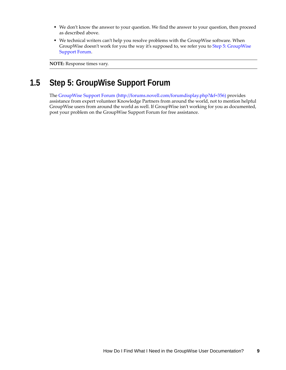- We don't know the answer to your question. We find the answer to your question, then proceed as described above.
- We technical writers can't help you resolve problems with the GroupWise software. When GroupWise doesn't work for you the way it's supposed to, we refer you to [Step 5: GroupWise](#page-8-0)  [Support Forum](#page-8-0).

**NOTE:** Response times vary.

### <span id="page-8-0"></span>**1.5 Step 5: GroupWise Support Forum**

The [GroupWise Support Forum](http://forums.novell.com/forumdisplay.php?&f=356) (http://forums.novell.com/forumdisplay.php?&f=356) provides assistance from expert volunteer Knowledge Partners from around the world, not to mention helpful GroupWise users from around the world as well. If GroupWise isn't working for you as documented, post your problem on the GroupWise Support Forum for free assistance.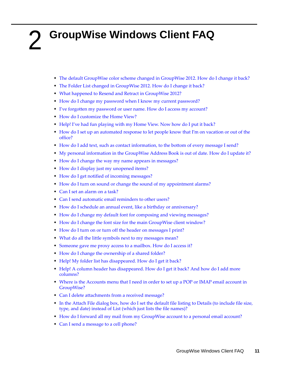## <span id="page-10-0"></span>2 <sup>2</sup>**GroupWise Windows Client FAQ**

- <span id="page-10-1"></span>• [The default GroupWise color scheme changed in GroupWise 2012. How do I change it back?](#page-11-1)
- [The Folder List changed in GroupWise 2012. How do I change it back?](#page-11-5)
- [What happened to Resend and Retract in GroupWise 2012?](#page-11-4)
- [How do I change my password when I know my current password?](#page-11-3)
- [I've forgotten my password or user name. How do I access my account?](#page-11-2)
- [How do I customize the Home View?](#page-11-0)
- [Help! I've had fun playing with my Home View. Now how do I put it back?](#page-12-0)
- [How do I set up an automated response to let people know that I'm on vacation or out of the](#page-12-1)  [office?](#page-12-1)
- [How do I add text, such as contact information, to the bottom of every message I send?](#page-12-2)
- [My personal information in the GroupWise Address Book is out of date. How do I update it?](#page-12-7)
- [How do I change the way my name appears in messages?](#page-12-8)
- [How do I display just my unopened items?](#page-12-6)
- [How do I get notified of incoming messages?](#page-12-3)
- [How do I turn on sound or change the sound of my appointment alarms?](#page-12-5)
- [Can I set an alarm on a task?](#page-12-4)
- [Can I send automatic email reminders to other users?](#page-13-6)
- [How do I schedule an annual event, like a birthday or anniversary?](#page-13-0)
- [How do I change my default font for composing and viewing messages?](#page-13-1)
- [How do I change the font size for the main GroupWise client window?](#page-13-7)
- [How do I turn on or turn off the header on messages I print?](#page-13-4)
- [What do all the little symbols next to my messages mean?](#page-13-2)
- [Someone gave me proxy access to a mailbox. How do I access it?](#page-13-3)
- [How do I change the ownership of a shared folder?](#page-13-5)
- [Help! My folder list has disappeared. How do I get it back?](#page-14-0)
- [Help! A column header has disappeared. How do I get it back? And how do I add more](#page-14-4)  [columns?](#page-14-4)
- [Where is the Accounts menu that I need in order to set up a POP or IMAP email account in](#page-14-5)  [GroupWise?](#page-14-5)
- [Can I delete attachments from a received message?](#page-14-1)
- [In the Attach File dialog box, how do I set the default file listing to Details \(to include file size,](#page-14-2)  [type, and date\) instead of List \(which just lists the file names\)?](#page-14-2)
- [How do I forward all my mail from my GroupWise account to a personal email account?](#page-14-3)
- [Can I send a message to a cell phone?](#page-14-6)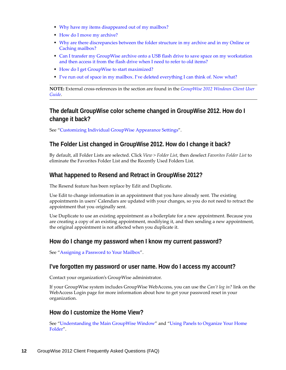- [Why have my items disappeared out of my mailbox?](#page-14-7)
- [How do I move my archive?](#page-15-4)
- [Why are there discrepancies between the folder structure in my archive and in my Online or](#page-15-1)  [Caching mailbox?](#page-15-1)
- Can I transfer my GroupWise archive onto a USB flash drive to save space on my workstation [and then access it from the flash drive when I need to refer to old items?](#page-15-0)
- [How do I get GroupWise to start maximized?](#page-15-2)
- [I've run out of space in my mailbox. I've deleted everything I can think of. Now what?](#page-15-3)

**NOTE:** External cross-references in the section are found in the *GroupWise 2012 Windows Client User Guide*.

#### <span id="page-11-1"></span>**The default GroupWise color scheme changed in GroupWise 2012. How do I change it back?**

See "Customizing Individual GroupWise Appearance Settings".

#### <span id="page-11-6"></span><span id="page-11-5"></span>**The Folder List changed in GroupWise 2012. How do I change it back?**

By default, all Folder Lists are selected. Click *View > Folder List*, then deselect *Favorites Folder List* to eliminate the Favorites Folder List and the Recently Used Folders List.

#### <span id="page-11-4"></span>**What happened to Resend and Retract in GroupWise 2012?**

The Resend feature has been replace by Edit and Duplicate.

Use Edit to change information in an appointment that you have already sent. The existing appointments in users' Calendars are updated with your changes, so you do not need to retract the appointment that you originally sent.

Use Duplicate to use an existing appointment as a boilerplate for a new appointment. Because you are creating a copy of an existing appointment, modifying it, and then sending a new appointment, the original appointment is not affected when you duplicate it.

#### <span id="page-11-3"></span>**How do I change my password when I know my current password?**

See "Assigning a Password to Your Mailbox".

#### <span id="page-11-2"></span>**I've forgotten my password or user name. How do I access my account?**

Contact your organization's GroupWise administrator.

If your GroupWise system includes GroupWise WebAccess, you can use the *Can't log in?* link on the WebAccess Login page for more information about how to get your password reset in your organization.

#### <span id="page-11-0"></span>**How do I customize the Home View?**

See "Understanding the Main GroupWise Window" and "Using Panels to Organize Your Home Folder".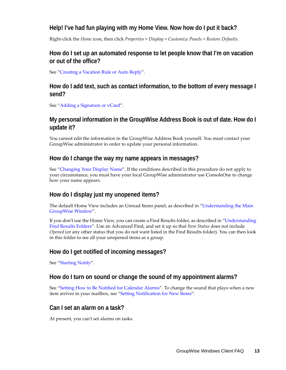#### <span id="page-12-0"></span>**Help! I've had fun playing with my Home View. Now how do I put it back?**

Right-click the *Home* icon, then click *Properties* > *Display* > *Customize Panels* > *Restore Defaults*.

#### <span id="page-12-1"></span>**How do I set up an automated response to let people know that I'm on vacation or out of the office?**

See "Creating a Vacation Rule or Auto Reply".

#### <span id="page-12-2"></span>**How do I add text, such as contact information, to the bottom of every message I send?**

See "Adding a Signature or vCard".

#### <span id="page-12-9"></span><span id="page-12-7"></span>**My personal information in the GroupWise Address Book is out of date. How do I update it?**

You cannot edit the information in the GroupWise Address Book yourself. You must contact your GroupWise administrator in order to update your personal information.

#### <span id="page-12-10"></span><span id="page-12-8"></span>**How do I change the way my name appears in messages?**

See "Changing Your Display Name". If the conditions described in this procedure do not apply to your circumstance, you must have your local GroupWise administrator use ConsoleOne to change how your name appears.

#### <span id="page-12-6"></span>**How do I display just my unopened items?**

The default Home View includes an Unread Items panel, as described in "Understanding the Main GroupWise Window".

If you don't use the Home View, you can create a Find Results folder, as described in "Understanding Find Results Folders". Use an Advanced Find, and set it up so that *Item Status* does not include *Opened* (or any other status that you do not want listed in the Find Results folder). You can then look in this folder to see all your unopened items as a group.

#### <span id="page-12-3"></span>**How do I get notified of incoming messages?**

See "Starting Notify".

#### <span id="page-12-5"></span>**How do I turn on sound or change the sound of my appointment alarms?**

See "Setting How to Be Notified for Calendar Alarms". To change the sound that plays when a new item arrives in your mailbox, see "Setting Notification for New Items".

#### <span id="page-12-4"></span>**Can I set an alarm on a task?**

At present, you can't set alarms on tasks.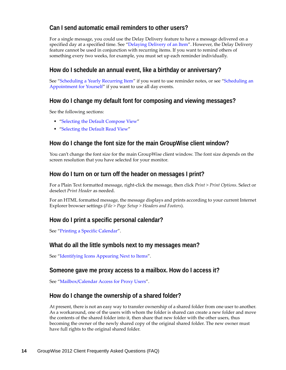#### <span id="page-13-6"></span>**Can I send automatic email reminders to other users?**

For a single message, you could use the Delay Delivery feature to have a message delivered on a specified day at a specified time. See "Delaying Delivery of an Item". However, the Delay Delivery feature cannot be used in conjunction with recurring items. If you want to remind others of something every two weeks, for example, you must set up each reminder individually.

#### <span id="page-13-0"></span>**How do I schedule an annual event, like a birthday or anniversary?**

See "Scheduling a Yearly Recurring Item" if you want to use reminder notes, or see "Scheduling an Appointment for Yourself" if you want to use all day events.

#### <span id="page-13-1"></span>**How do I change my default font for composing and viewing messages?**

See the following sections:

- "Selecting the Default Compose View"
- <span id="page-13-8"></span>"Selecting the Default Read View"

#### <span id="page-13-7"></span>**How do I change the font size for the main GroupWise client window?**

You can't change the font size for the main GroupWise client window. The font size depends on the screen resolution that you have selected for your monitor.

#### <span id="page-13-4"></span>**How do I turn on or turn off the header on messages I print?**

For a Plain Text formatted message, right-click the message, then click *Print > Print Options*. Select or deselect *Print Header* as needed.

For an HTML formatted message, the message displays and prints according to your current Internet Explorer browser settings (*File > Page Setup > Headers and Footers*).

#### **How do I print a specific personal calendar?**

See "Printing a Specific Calendar".

#### <span id="page-13-2"></span>**What do all the little symbols next to my messages mean?**

See "Identifying Icons Appearing Next to Items".

#### <span id="page-13-3"></span>**Someone gave me proxy access to a mailbox. How do I access it?**

See "Mailbox/Calendar Access for Proxy Users".

#### <span id="page-13-5"></span>**How do I change the ownership of a shared folder?**

At present, there is not an easy way to transfer ownership of a shared folder from one user to another. As a workaround, one of the users with whom the folder is shared can create a new folder and move the contents of the shared folder into it, then share that new folder with the other users, thus becoming the owner of the newly shared copy of the original shared folder. The new owner must have full rights to the original shared folder.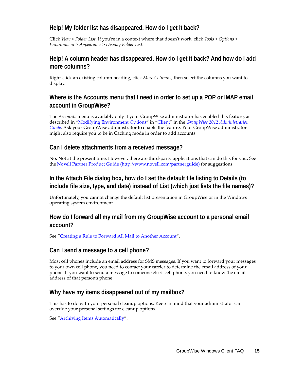#### <span id="page-14-0"></span>**Help! My folder list has disappeared. How do I get it back?**

Click *View* > *Folder List*. If you're in a context where that doesn't work, click *Tools* > *Options* > *Environment* > *Appearance* > *Display Folder List*.

#### <span id="page-14-4"></span>**Help! A column header has disappeared. How do I get it back? And how do I add more columns?**

Right-click an existing column heading, click *More Columns*, then select the columns you want to display.

#### <span id="page-14-5"></span>**Where is the Accounts menu that I need in order to set up a POP or IMAP email account in GroupWise?**

The *Accounts* menu is availably only if your GroupWise administrator has enabled this feature, as described in "Modifying Environment Options" in "Client" in the *GroupWise 2012 Administration Guide*. Ask your GroupWise administrator to enable the feature. Your GroupWise administrator might also require you to be in Caching mode in order to add accounts.

#### <span id="page-14-1"></span>**Can I delete attachments from a received message?**

No. Not at the present time. However, there are third-party applications that can do this for you. See the [Novell Partner Product Guide](http://www.novell.com/partnerguide) (http://www.novell.com/partnerguide) for suggestions.

#### <span id="page-14-2"></span>**In the Attach File dialog box, how do I set the default file listing to Details (to include file size, type, and date) instead of List (which just lists the file names)?**

Unfortunately, you cannot change the default list presentation in GroupWise or in the Windows operating system environment.

#### <span id="page-14-3"></span>**How do I forward all my mail from my GroupWise account to a personal email account?**

See "Creating a Rule to Forward All Mail to Another Account".

#### <span id="page-14-9"></span><span id="page-14-6"></span>**Can I send a message to a cell phone?**

Most cell phones include an email address for SMS messages. If you want to forward your messages to your own cell phone, you need to contact your carrier to determine the email address of your phone. If you want to send a message to someone else's cell phone, you need to know the email address of that person's phone.

#### <span id="page-14-8"></span><span id="page-14-7"></span>**Why have my items disappeared out of my mailbox?**

This has to do with your personal cleanup options. Keep in mind that your administrator can override your personal settings for cleanup options.

See "Archiving Items Automatically".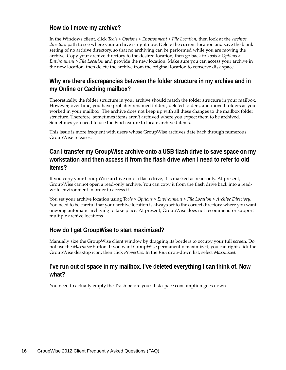#### <span id="page-15-4"></span>**How do I move my archive?**

In the Windows client, click *Tools > Options > Environment > File Location*, then look at the *Archive directory* path to see where your archive is right now. Delete the current location and save the blank setting of no archive directory, so that no archiving can be performed while you are moving the archive. Copy your archive directory to the desired location, then go back to *Tools > Options > Environment > File Location* and provide the new location. Make sure you can access your archive in the new location, then delete the archive from the original location to conserve disk space.

#### <span id="page-15-1"></span>**Why are there discrepancies between the folder structure in my archive and in my Online or Caching mailbox?**

Theoretically, the folder structure in your archive should match the folder structure in your mailbox. However, over time, you have probably renamed folders, deleted folders, and moved folders as you worked in your mailbox. The archive does not keep up with all these changes to the mailbox folder structure. Therefore, sometimes items aren't archived where you expect them to be archived. Sometimes you need to use the Find feature to locate archived items.

This issue is more frequent with users whose GroupWise archives date back through numerous GroupWise releases.

#### <span id="page-15-0"></span>**Can I transfer my GroupWise archive onto a USB flash drive to save space on my workstation and then access it from the flash drive when I need to refer to old items?**

If you copy your GroupWise archive onto a flash drive, it is marked as read-only. At present, GroupWise cannot open a read-only archive. You can copy it from the flash drive back into a readwrite environment in order to access it.

You set your archive location using *Tools* > *Options* > *Environment* > *File Location* > *Archive Directory*. You need to be careful that your archive location is always set to the correct directory where you want ongoing automatic archiving to take place. At present, GroupWise does not recommend or support multiple archive locations.

#### <span id="page-15-2"></span>**How do I get GroupWise to start maximized?**

Manually size the GroupWise client window by dragging its borders to occupy your full screen. Do not use the *Maximize* button. If you want GroupWise permanently maximized, you can right-click the GroupWise desktop icon, then click *Properties*. In the *Run* drop-down list, select *Maximized*.

#### <span id="page-15-5"></span><span id="page-15-3"></span>**I've run out of space in my mailbox. I've deleted everything I can think of. Now what?**

You need to actually empty the Trash before your disk space consumption goes down.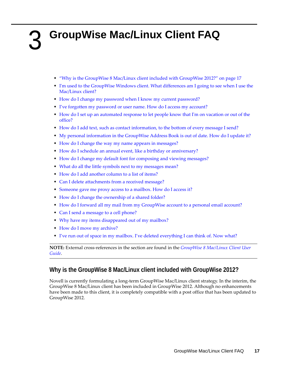## <span id="page-16-0"></span>3 <sup>3</sup>**GroupWise Mac/Linux Client FAQ**

- <span id="page-16-1"></span>["Why is the GroupWise 8 Mac/Linux client included with GroupWise 2012?" on page 17](#page-16-2)
- [I'm used to the GroupWise Windows client. What differences am I going to see when I use the](#page-17-0)  [Mac/Linux client?](#page-17-0)
- [How do I change my password when I know my current password?](#page-17-1)
- [I've forgotten my password or user name. How do I access my account?](#page-17-2)
- [How do I set up an automated response to let people know that I'm on vacation or out of the](#page-17-3)  [office?](#page-17-3)
- [How do I add text, such as contact information, to the bottom of every message I send?](#page-17-4)
- [My personal information in the GroupWise Address Book is out of date. How do I update it?](#page-17-5)
- [How do I change the way my name appears in messages?](#page-17-6)
- [How do I schedule an annual event, like a birthday or anniversary?](#page-17-7)
- [How do I change my default font for composing and viewing messages?](#page-17-8)
- [What do all the little symbols next to my messages mean?](#page-18-0)
- [How do I add another column to a list of items?](#page-18-1)
- [Can I delete attachments from a received message?](#page-18-2)
- [Someone gave me proxy access to a mailbox. How do I access it?](#page-18-3)
- [How do I change the ownership of a shared folder?](#page-18-4)
- [How do I forward all my mail from my GroupWise account to a personal email account?](#page-18-5)
- [Can I send a message to a cell phone?](#page-18-6)
- [Why have my items disappeared out of my mailbox?](#page-14-8)
- [How do I move my archive?](#page-18-7)
- [I've run out of space in my mailbox. I've deleted everything I can think of. Now what?](#page-19-0)

**NOTE:** External cross-references in the section are found in the *[GroupWise 8 Mac/Linux Client User](http://www.novell.com/documentation/gw8/pdfdoc/gw8_userlinmac/gw8_userlinmac.pdf#userlinmac)  [Guide](http://www.novell.com/documentation/gw8/pdfdoc/gw8_userlinmac/gw8_userlinmac.pdf#userlinmac)*.

#### <span id="page-16-2"></span>**Why is the GroupWise 8 Mac/Linux client included with GroupWise 2012?**

Novell is currently formulating a long-term GroupWise Mac/Linux client strategy. In the interim, the GroupWise 8 Mac/Linux client has been included in GroupWise 2012. Although no enhancements have been made to this client, it is completely compatible with a post office that has been updated to GroupWise 2012.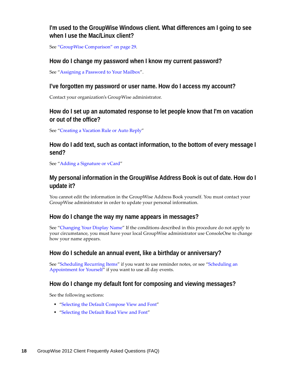#### <span id="page-17-0"></span>**I'm used to the GroupWise Windows client. What differences am I going to see when I use the Mac/Linux client?**

See ["GroupWise Comparison" on page 29](#page-28-3).

#### <span id="page-17-1"></span>**How do I change my password when I know my current password?**

See ["Assigning a Password to Your Mailbox"](http://www.novell.com/documentation/gw8/pdfdoc/gw8_userlinmac/gw8_userlinmac.pdf#getstart_password).

#### <span id="page-17-2"></span>**I've forgotten my password or user name. How do I access my account?**

Contact your organization's GroupWise administrator.

#### <span id="page-17-3"></span>**How do I set up an automated response to let people know that I'm on vacation or out of the office?**

See ["Creating a Vacation Rule or Auto Reply](http://www.novell.com/documentation/gw8/pdfdoc/gw8_userlinmac/gw8_userlinmac.pdf#rules_creating_vacation)"

#### <span id="page-17-4"></span>**How do I add text, such as contact information, to the bottom of every message I send?**

See ["Adding a Signature or vCard](http://www.novell.com/documentation/gw8/pdfdoc/gw8_userlinmac/gw8_userlinmac.pdf#email_sending_signaturevcard)"

#### <span id="page-17-5"></span>**My personal information in the GroupWise Address Book is out of date. How do I update it?**

You cannot edit the information in the GroupWise Address Book yourself. You must contact your GroupWise administrator in order to update your personal information.

#### <span id="page-17-6"></span>**How do I change the way my name appears in messages?**

See ["Changing Your Display Name"](http://www.novell.com/documentation/gw8/pdfdoc/gw8_userlinmac/gw8_userlinmac.pdf#getorg_customizing_displayname) If the conditions described in this procedure do not apply to your circumstance, you must have your local GroupWise administrator use ConsoleOne to change how your name appears.

#### <span id="page-17-7"></span>**How do I schedule an annual event, like a birthday or anniversary?**

See ["Scheduling Recurring Items"](http://www.novell.com/documentation/gw8/pdfdoc/gw8_userlinmac/gw8_userlinmac.pdf#cal_sending_recurring) if you want to use reminder notes, or see "[Scheduling an](http://www.novell.com/documentation/gw8/pdfdoc/gw8_userlinmac/gw8_userlinmac.pdf#cal_sending_schedulingappt_self)  [Appointment for Yourself](http://www.novell.com/documentation/gw8/pdfdoc/gw8_userlinmac/gw8_userlinmac.pdf#cal_sending_schedulingappt_self)" if you want to use all day events.

#### <span id="page-17-8"></span>**How do I change my default font for composing and viewing messages?**

See the following sections:

- "[Selecting the Default Compose View and Font](http://www.novell.com/documentation/gw8/pdfdoc/gw8_userlinmac/gw8_userlinmac.pdf#email_sending_composeview)"
- "[Selecting the Default Read View and Font](http://www.novell.com/documentation/gw8/pdfdoc/gw8_userlinmac/gw8_userlinmac.pdf#email_receiving_reading_readview)"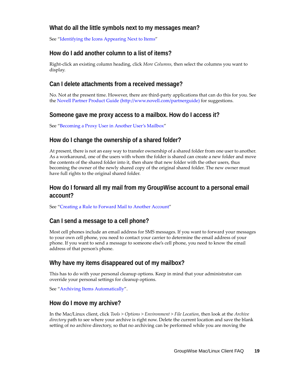#### <span id="page-18-0"></span>**What do all the little symbols next to my messages mean?**

See ["Identifying the Icons Appearing Next to Items](http://www.novell.com/documentation/gw8/pdfdoc/gw8_userlinmac/gw8_userlinmac.pdf#getstart_icons)"

#### <span id="page-18-1"></span>**How do I add another column to a list of items?**

Right-click an existing column heading, click *More Columns*, then select the columns you want to display.

#### <span id="page-18-2"></span>**Can I delete attachments from a received message?**

No. Not at the present time. However, there are third-party applications that can do this for you. See the [Novell Partner Product Guide](http://www.novell.com/partnerguide) (http://www.novell.com/partnerguide) for suggestions.

#### <span id="page-18-3"></span>**Someone gave me proxy access to a mailbox. How do I access it?**

See ["Becoming a Proxy User in Another User's Mailbox"](http://www.novell.com/documentation/gw8/pdfdoc/gw8_userlinmac/gw8_userlinmac.pdf#proxy_useraccess)

#### <span id="page-18-4"></span>**How do I change the ownership of a shared folder?**

At present, there is not an easy way to transfer ownership of a shared folder from one user to another. As a workaround, one of the users with whom the folder is shared can create a new folder and move the contents of the shared folder into it, then share that new folder with the other users, thus becoming the owner of the newly shared copy of the original shared folder. The new owner must have full rights to the original shared folder.

#### <span id="page-18-5"></span>**How do I forward all my mail from my GroupWise account to a personal email account?**

See ["Creating a Rule to Forward Mail to Another Account"](http://www.novell.com/documentation/gw8/pdfdoc/gw8_userlinmac/gw8_userlinmac.pdf#rules_creating_forwarding)

#### <span id="page-18-6"></span>**Can I send a message to a cell phone?**

Most cell phones include an email address for SMS messages. If you want to forward your messages to your own cell phone, you need to contact your carrier to determine the email address of your phone. If you want to send a message to someone else's cell phone, you need to know the email address of that person's phone.

#### **Why have my items disappeared out of my mailbox?**

This has to do with your personal cleanup options. Keep in mind that your administrator can override your personal settings for cleanup options.

See ["Archiving Items Automatically"](http://www.novell.com/documentation/gw8/pdfdoc/gw8_userlinmac/gw8_userlinmac.pdf#maint_archive_automatically).

#### <span id="page-18-7"></span>**How do I move my archive?**

In the Mac/Linux client, click *Tools > Options > Environment > File Location*, then look at the *Archive directory* path to see where your archive is right now. Delete the current location and save the blank setting of no archive directory, so that no archiving can be performed while you are moving the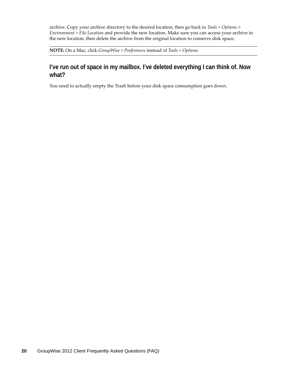archive. Copy your archive directory to the desired location, then go back to *Tools > Options > Environment > File Location* and provide the new location. Make sure you can access your archive in the new location, then delete the archive from the original location to conserve disk space.

**NOTE:** On a Mac, click *GroupWise > Preferences* instead of *Tools > Options*.

#### <span id="page-19-0"></span>**I've run out of space in my mailbox. I've deleted everything I can think of. Now what?**

You need to actually empty the Trash before your disk space consumption goes down.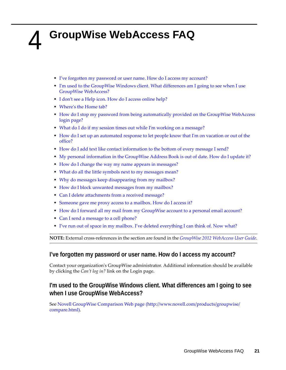## <span id="page-20-0"></span>4 <sup>4</sup>**GroupWise WebAccess FAQ**

- <span id="page-20-1"></span>[I've forgotten my password or user name. How do I access my account?](#page-20-3)
- [I'm used to the GroupWise Windows client. What differences am I going to see when I use](#page-20-2)  [GroupWise WebAccess?](#page-20-2)
- [I don't see a Help icon. How do I access online help?](#page-21-5)
- [Where's the Home tab?](#page-21-0)
- How do I stop my password from being automatically provided on the GroupWise WebAccess [login page?](#page-21-1)
- [What do I do if my session times out while I'm working on a message?](#page-21-6)
- [How do I set up an automated response to let people know that I'm on vacation or out of the](#page-21-2)  [office?](#page-21-2)
- [How do I add text like contact information to the bottom of every message I send?](#page-21-3)
- [My personal information in the GroupWise Address Book is out of date. How do I update it?](#page-12-9)
- [How do I change the way my name appears in messages?](#page-12-10)
- [What do all the little symbols next to my messages mean?](#page-21-4)
- [Why do messages keep disappearing from my mailbox?](#page-22-2)
- [How do I block unwanted messages from my mailbox?](#page-22-3)
- [Can I delete attachments from a received message?](#page-22-0)
- [Someone gave me proxy access to a mailbox. How do I access it?](#page-22-1)
- [How do I forward all my mail from my GroupWise account to a personal email account?](#page-22-4)
- [Can I send a message to a cell phone?](#page-14-9)
- [I've run out of space in my mailbox. I've deleted everything I can think of. Now what?](#page-15-5)

**NOTE:** External cross-references in the section are found in the *GroupWise 2012 WebAccess User Guide*.

#### <span id="page-20-3"></span>**I've forgotten my password or user name. How do I access my account?**

Contact your organization's GroupWise administrator. Additional information should be available by clicking the *Can't log in?* link on the Login page.

#### <span id="page-20-2"></span>**I'm used to the GroupWise Windows client. What differences am I going to see when I use GroupWise WebAccess?**

See [Novell GroupWise Comparison Web page](http://www.novell.com/products/groupwise/compare.html) (http://www.novell.com/products/groupwise/ compare.html).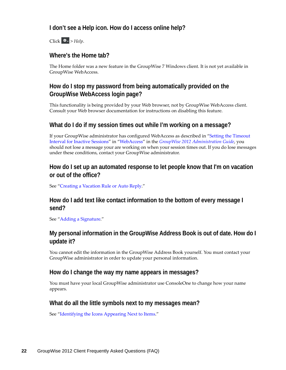#### <span id="page-21-5"></span>**I don't see a Help icon. How do I access online help?**

Click  $\star$  > *Help*.

#### <span id="page-21-0"></span>**Where's the Home tab?**

The Home folder was a new feature in the GroupWise 7 Windows client. It is not yet available in GroupWise WebAccess.

#### <span id="page-21-1"></span>**How do I stop my password from being automatically provided on the GroupWise WebAccess login page?**

This functionality is being provided by your Web browser, not by GroupWise WebAccess client. Consult your Web browser documentation for instructions on disabling this feature.

#### <span id="page-21-6"></span>**What do I do if my session times out while I'm working on a message?**

If your GroupWise administrator has configured WebAccess as described in "Setting the Timeout Interval for Inactive Sessions" in "WebAccess" in the *GroupWise 2012 Administration Guide*, you should not lose a message your are working on when your session times out. If you do lose messages under these conditions, contact your GroupWise administrator.

#### <span id="page-21-2"></span>**How do I set up an automated response to let people know that I'm on vacation or out of the office?**

See "Creating a Vacation Rule or Auto Reply."

#### <span id="page-21-3"></span>**How do I add text like contact information to the bottom of every message I send?**

See "Adding a Signature."

#### **My personal information in the GroupWise Address Book is out of date. How do I update it?**

You cannot edit the information in the GroupWise Address Book yourself. You must contact your GroupWise administrator in order to update your personal information.

#### **How do I change the way my name appears in messages?**

You must have your local GroupWise administrator use ConsoleOne to change how your name appears.

#### <span id="page-21-4"></span>**What do all the little symbols next to my messages mean?**

See "Identifying the Icons Appearing Next to Items."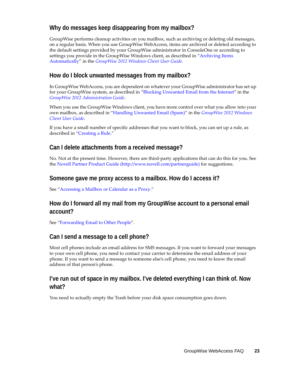#### <span id="page-22-2"></span>**Why do messages keep disappearing from my mailbox?**

GroupWise performs cleanup activities on you mailbox, such as archiving or deleting old messages, on a regular basis. When you use GroupWise WebAccess, items are archived or deleted according to the default settings provided by your GroupWise administrator in ConsoleOne or according to settings you provide in the GroupWise Windows client, as described in "Archiving Items Automatically" in the *GroupWise 2012 Windows Client User Guide.*

#### <span id="page-22-3"></span>**How do I block unwanted messages from my mailbox?**

In GroupWise WebAccess, you are dependent on whatever your GroupWise administrator has set up for your GroupWise system, as described in "Blocking Unwanted Email from the Internet" in the *GroupWise 2012 Administration Guide*.

When you use the GroupWise Windows client, you have more control over what you allow into your own mailbox, as described in "Handling Unwanted Email (Spam)" in the *GroupWise 2012 Windows Client User Guide*.

If you have a small number of specific addresses that you want to block, you can set up a rule, as described in "Creating a Rule."

#### <span id="page-22-0"></span>**Can I delete attachments from a received message?**

No. Not at the present time. However, there are third-party applications that can do this for you. See the [Novell Partner Product Guide](http://www.novell.com/partnerguide) (http://www.novell.com/partnerguide) for suggestions.

#### <span id="page-22-1"></span>**Someone gave me proxy access to a mailbox. How do I access it?**

See "Accessing a Mailbox or Calendar as a Proxy."

#### <span id="page-22-4"></span>**How do I forward all my mail from my GroupWise account to a personal email account?**

See "Forwarding Email to Other People".

#### **Can I send a message to a cell phone?**

Most cell phones include an email address for SMS messages. If you want to forward your messages to your own cell phone, you need to contact your carrier to determine the email address of your phone. If you want to send a message to someone else's cell phone, you need to know the email address of that person's phone.

#### **I've run out of space in my mailbox. I've deleted everything I can think of. Now what?**

You need to actually empty the Trash before your disk space consumption goes down.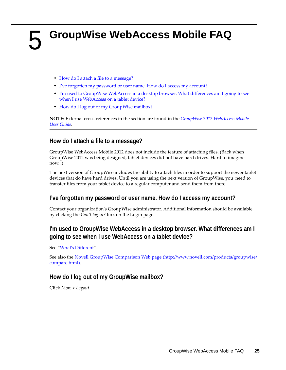# <span id="page-24-1"></span><span id="page-24-0"></span><sup>5</sup>**GroupWise WebAccess Mobile FAQ**

- [How do I attach a file to a message?](#page-24-5)
- [I've forgotten my password or user name. How do I access my account?](#page-24-2)
- [I'm used to GroupWise WebAccess in a desktop browser. What differences am I going to see](#page-24-3)  [when I use WebAccess on a tablet device?](#page-24-3)
- [How do I log out of my GroupWise mailbox?](#page-24-4)

**NOTE:** External cross-references in the section are found in the *GroupWise 2012 WebAccess Mobile User Guide*.

#### <span id="page-24-5"></span>**How do I attach a file to a message?**

GroupWise WebAccess Mobile 2012 does not include the feature of attaching files. (Back when GroupWise 2012 was being designed, tablet devices did not have hard drives. Hard to imagine now...)

The next version of GroupWise includes the ability to attach files in order to support the newer tablet devices that do have hard drives. Until you are using the next version of GroupWise, you 'need to transfer files from your tablet device to a regular computer and send them from there.

#### <span id="page-24-2"></span>**I've forgotten my password or user name. How do I access my account?**

Contact your organization's GroupWise administrator. Additional information should be available by clicking the *Can't log in?* link on the Login page.

#### <span id="page-24-3"></span>**I'm used to GroupWise WebAccess in a desktop browser. What differences am I going to see when I use WebAccess on a tablet device?**

See "What's Different".

See also the [Novell GroupWise Comparison Web page](http://www.novell.com/products/groupwise/compare.html) (http://www.novell.com/products/groupwise/ compare.html).

#### <span id="page-24-4"></span>**How do I log out of my GroupWise mailbox?**

Click *More > Logout*.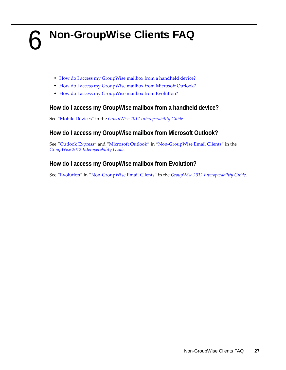- <span id="page-26-1"></span><span id="page-26-0"></span>[How do I access my GroupWise mailbox from a handheld device?](#page-26-2)
- [How do I access my GroupWise mailbox from Microsoft Outlook?](#page-26-3)
- [How do I access my GroupWise mailbox from Evolution?](#page-26-4)

#### <span id="page-26-2"></span>**How do I access my GroupWise mailbox from a handheld device?**

See "Mobile Devices" in the *GroupWise 2012 Interoperability Guide*.

#### <span id="page-26-3"></span>**How do I access my GroupWise mailbox from Microsoft Outlook?**

See "Outlook Express" and "Microsoft Outlook" in "Non-GroupWise Email Clients" in the *GroupWise 2012 Interoperability Guide*.

#### <span id="page-26-4"></span>**How do I access my GroupWise mailbox from Evolution?**

See "Evolution" in "Non-GroupWise Email Clients" in the *GroupWise 2012 Interoperability Guide*.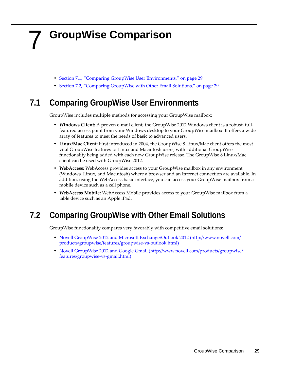## <span id="page-28-0"></span>7 <sup>7</sup>**GroupWise Comparison**

- <span id="page-28-3"></span>• [Section 7.1, "Comparing GroupWise User Environments," on page 29](#page-28-1)
- [Section 7.2, "Comparing GroupWise with Other Email Solutions," on page 29](#page-28-2)

### <span id="page-28-1"></span>**7.1 Comparing GroupWise User Environments**

GroupWise includes multiple methods for accessing your GroupWise mailbox:

- **Windows Client:** A proven e-mail client, the GroupWise 2012 Windows client is a robust, fullfeatured access point from your Windows desktop to your GroupWise mailbox. It offers a wide array of features to meet the needs of basic to advanced users.
- **Linux/Mac Client:** First introduced in 2004, the GroupWise 8 Linux/Mac client offers the most vital GroupWise features to Linux and Macintosh users, with additional GroupWise functionality being added with each new GroupWise release. The GroupWise 8 Linux/Mac client can be used with GroupWise 2012.
- **WebAccess:** WebAccess provides access to your GroupWise mailbox in any environment (Windows, Linux, and Macintosh) where a browser and an Internet connection are available. In addition, using the WebAccess basic interface, you can access your GroupWise mailbox from a mobile device such as a cell phone.
- **WebAccess Mobile:** WebAccess Mobile provides access to your GroupWise mailbox from a table device such as an Apple iPad.

### <span id="page-28-2"></span>**7.2 Comparing GroupWise with Other Email Solutions**

GroupWise functionality compares very favorably with competitive email solutions:

- [Novell GroupWise 2012 and Microsoft Exchange/Outlook 2012](http://www.novell.com/products/groupwise/features/groupwise-vs-outlook.html) (http://www.novell.com/ products/groupwise/features/groupwise-vs-outlook.html)
- [Novell GroupWise 2012 and Google Gmail](http://www.novell.com/products/groupwise/features/groupwise-vs-gmail.html) (http://www.novell.com/products/groupwise/ features/groupwise-vs-gmail.html)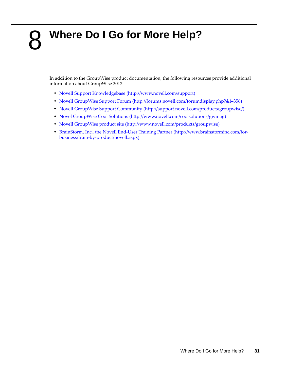## <span id="page-30-0"></span>8 <sup>8</sup>**Where Do I Go for More Help?**

<span id="page-30-1"></span>In addition to the GroupWise product documentation, the following resources provide additional information about GroupWise 2012:

- [Novell Support Knowledgebase](http://www.novell.com/support) (http://www.novell.com/support)
- [Novell GroupWise Support Forum](http://forums.novell.com/forumdisplay.php?&f=356) (http://forums.novell.com/forumdisplay.php?&f=356)
- [Novell GroupWise Support Community](http://support.novell.com/products/groupwise/) (http://support.novell.com/products/groupwise/)
- [Novel GroupWise Cool Solutions](http://www.novell.com/coolsolutions/gwmag) (http://www.novell.com/coolsolutions/gwmag)
- [Novell GroupWise product site](http://www.novell.com/products/groupwise) (http://www.novell.com/products/groupwise)
- [BrainStorm, Inc., the Novell End-User Training Partner](http://www.brainstorminc.com/for-business/train-by-product/novell.aspx) (http://www.brainstorminc.com/forbusiness/train-by-product/novell.aspx)